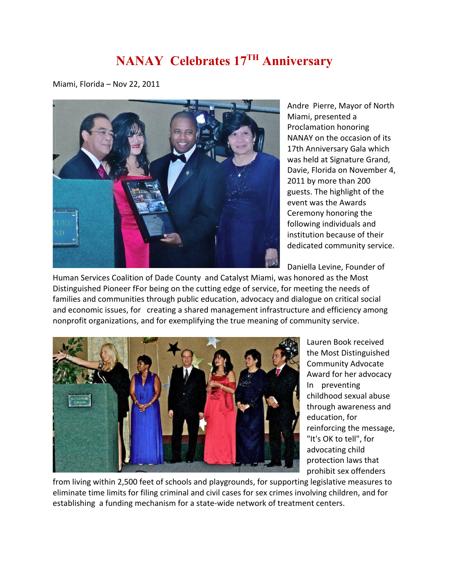## **NANAY Celebrates 17TH Anniversary**

Miami, Florida – Nov 22, 2011



Andre Pierre, Mayor of North Miami, presented a Proclamation honoring NANAY on the occasion of its 17th Anniversary Gala which was held at Signature Grand, Davie, Florida on November 4, 2011 by more than 200 guests. The highlight of the event was the Awards Ceremony honoring the following individuals and institution because of their dedicated community service.

Daniella Levine, Founder of

Human Services Coalition of Dade County and Catalyst Miami, was honored as the Most Distinguished Pioneer fFor being on the cutting edge of service, for meeting the needs of families and communities through public education, advocacy and dialogue on critical social and economic issues, for creating a shared management infrastructure and efficiency among nonprofit organizations, and for exemplifying the true meaning of community service.



Lauren Book received the Most Distinguished Community Advocate Award for her advocacy In preventing childhood sexual abuse through awareness and education, for reinforcing the message, "It's OK to tell", for advocating child protection laws that prohibit sex offenders

from living within 2,500 feet of schools and playgrounds, for supporting legislative measures to eliminate time limits for filing criminal and civil cases for sex crimes involving children, and for establishing a funding mechanism for a state-wide network of treatment centers.